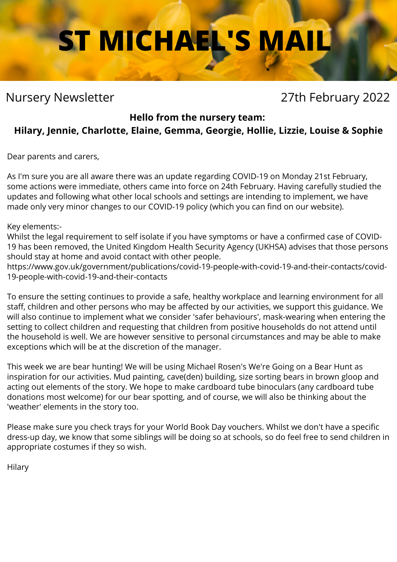# **ST MICHAEL'S MAIL**

# Nursery Newsletter 27th February 2022

### **Hello from the nursery team:**

# **Hilary, Jennie, Charlotte, Elaine, Gemma, Georgie, Hollie, Lizzie, Louise & Sophie**

Dear parents and carers,

As I'm sure you are all aware there was an update regarding COVID-19 on Monday 21st February, some actions were immediate, others came into force on 24th February. Having carefully studied the updates and following what other local schools and settings are intending to implement, we have made only very minor changes to our COVID-19 policy (which you can find on our website).

Key elements:-

Whilst the legal requirement to self isolate if you have symptoms or have a confirmed case of COVID-19 has been removed, the United Kingdom Health Security Agency (UKHSA) advises that those persons should stay at home and avoid contact with other people.

[https://www.gov.uk/government/publications/covid-19-people-with-covid-19-and-their-contacts/covid-](https://www.gov.uk/government/publications/covid-19-people-with-covid-19-and-their-contacts/covid-19-people-with-covid-19-and-their-contacts)[19-people-with-covid-19-and-their-contacts](https://www.gov.uk/government/publications/covid-19-people-with-covid-19-and-their-contacts/covid-19-people-with-covid-19-and-their-contacts)

To ensure the setting continues to provide a safe, healthy workplace and learning environment for all staff, children and other persons who may be affected by our activities, we support this guidance. We will also continue to implement what we consider 'safer behaviours', mask-wearing when entering the setting to collect children and requesting that children from positive households do not attend until the household is well. We are however sensitive to personal circumstances and may be able to make exceptions which will be at the discretion of the manager.

This week we are bear hunting! We will be using Michael Rosen's We're Going on a Bear Hunt as inspiration for our activities. Mud painting, cave(den) building, size sorting bears in brown gloop and acting out elements of the story. We hope to make cardboard tube binoculars (any cardboard tube donations most welcome) for our bear spotting, and of course, we will also be thinking about the 'weather' elements in the story too.

Please make sure you check trays for your World Book Day vouchers. Whilst we don't have a specific dress-up day, we know that some siblings will be doing so at schools, so do feel free to send children in appropriate costumes if they so wish.

Hilary